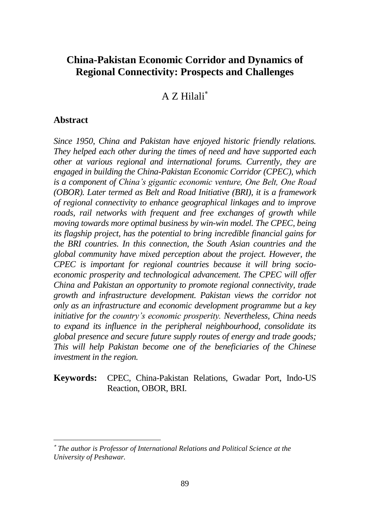# **China-Pakistan Economic Corridor and Dynamics of Regional Connectivity: Prospects and Challenges**

A Z Hilali

#### **Abstract**

 $\overline{a}$ 

*Since 1950, China and Pakistan have enjoyed historic friendly relations. They helped each other during the times of need and have supported each other at various regional and international forums. Currently, they are engaged in building the China-Pakistan Economic Corridor (CPEC), which is a component of China's gigantic economic venture, One Belt, One Road (OBOR). Later termed as Belt and Road Initiative (BRI), it is a framework of regional connectivity to enhance geographical linkages and to improve roads, rail networks with frequent and free exchanges of growth while moving towards more optimal business by win-win model. The CPEC, being its flagship project, has the potential to bring incredible financial gains for the BRI countries. In this connection, the South Asian countries and the global community have mixed perception about the project. However, the CPEC is important for regional countries because it will bring socioeconomic prosperity and technological advancement. The CPEC will offer China and Pakistan an opportunity to promote regional connectivity, trade growth and infrastructure development. Pakistan views the corridor not only as an infrastructure and economic development programme but a key initiative for the country's economic prosperity. Nevertheless, China needs to expand its influence in the peripheral neighbourhood, consolidate its global presence and secure future supply routes of energy and trade goods; This will help Pakistan become one of the beneficiaries of the Chinese investment in the region.* 

#### **Keywords:** CPEC, China-Pakistan Relations, Gwadar Port, Indo-US Reaction, OBOR, BRI.

*The author is Professor of International Relations and Political Science at the University of Peshawar.*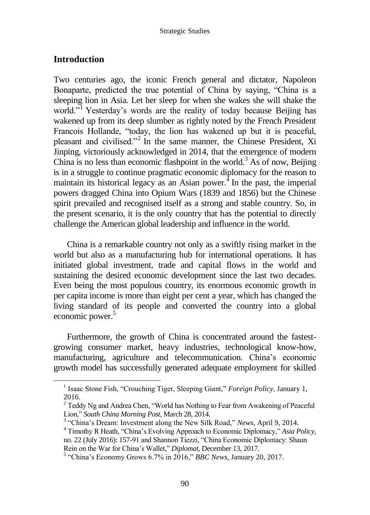#### **Introduction**

Two centuries ago, the iconic French general and dictator, Napoleon Bonaparte, predicted the true potential of China by saying, "China is a sleeping lion in Asia. Let her sleep for when she wakes she will shake the world."<sup>1</sup> Yesterday's words are the reality of today because Beijing has wakened up from its deep slumber as rightly noted by the French President Francois Hollande, "today, the lion has wakened up but it is peaceful, pleasant and civilised."<sup>2</sup> In the same manner, the Chinese President, Xi Jinping, victoriously acknowledged in 2014, that the emergence of modern China is no less than economic flashpoint in the world.<sup>3</sup> As of now, Beijing is in a struggle to continue pragmatic economic diplomacy for the reason to maintain its historical legacy as an Asian power. $\frac{1}{4}$  In the past, the imperial powers dragged China into Opium Wars (1839 and 1856) but the Chinese spirit prevailed and recognised itself as a strong and stable country. So, in the present scenario, it is the only country that has the potential to directly challenge the American global leadership and influence in the world.

China is a remarkable country not only as a swiftly rising market in the world but also as a manufacturing hub for international operations. It has initiated global investment, trade and capital flows in the world and sustaining the desired economic development since the last two decades. Even being the most populous country, its enormous economic growth in per capita income is more than eight per cent a year, which has changed the living standard of its people and converted the country into a global economic power.<sup>5</sup>

Furthermore, the growth of China is concentrated around the fastestgrowing consumer market, heavy industries, technological know-how, manufacturing, agriculture and telecommunication. China's economic growth model has successfully generated adequate employment for skilled

<sup>&</sup>lt;sup>1</sup> Isaac Stone Fish, "Crouching Tiger, Sleeping Giant," *Foreign Policy*, January 1, 2016.

<sup>&</sup>lt;sup>2</sup> Teddy Ng and Andrea Chen, "World has Nothing to Fear from Awakening of Peaceful Lion," *South China Morning Post*, March 28, 2014.

<sup>3</sup> "China's Dream: Investment along the New Silk Road," *News*, April 9, 2014.

<sup>4</sup> Timothy R Heath, "China's Evolving Approach to Economic Diplomacy," *Asia Policy*, no. 22 (July 2016): 157-91 and Shannon Tiezzi, "China Economic Diplomacy: Shaun Rein on the War for China's Wallet," *Diplomat*, December 13, 2017.

<sup>5</sup> "China's Economy Grows 6.7% in 2016," *BBC News*, January 20, 2017.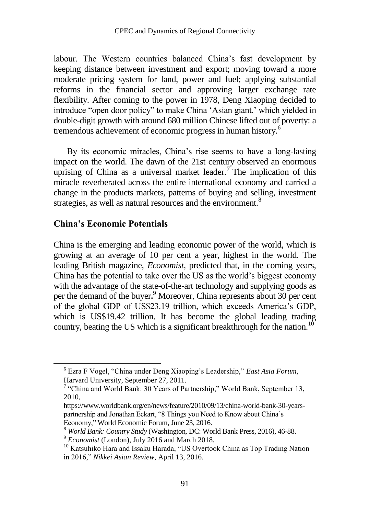labour. The Western countries balanced China's fast development by keeping distance between investment and export; moving toward a more moderate pricing system for land, power and fuel; applying substantial reforms in the financial sector and approving larger exchange rate flexibility. After coming to the power in 1978, Deng Xiaoping decided to introduce "open door policy" to make China 'Asian giant,' which yielded in double-digit growth with around 680 million Chinese lifted out of poverty: a tremendous achievement of economic progress in human history.<sup>6</sup>

By its economic miracles, China's rise seems to have a long-lasting impact on the world. The dawn of the 21st century observed an enormous uprising of China as a universal market leader.<sup>7</sup> The implication of this miracle reverberated across the entire international economy and carried a change in the products markets, patterns of buying and selling, investment strategies, as well as natural resources and the environment.<sup>8</sup>

#### **China's Economic Potentials**

 $\overline{a}$ 

China is the emerging and leading economic power of the world, which is growing at an average of 10 per cent a year, highest in the world. The leading British magazine, *Economist*, predicted that, in the coming years, China has the potential to take over the US as the world's biggest economy with the advantage of the state-of-the-art technology and supplying goods as per the demand of the buyer**.** <sup>9</sup> Moreover, China represents about 30 per cent of the global GDP of US\$23.19 trillion, which exceeds America's GDP, which is US\$19.42 trillion. It has become the global leading trading country, beating the US which is a significant breakthrough for the nation.<sup>10</sup>

<sup>6</sup> Ezra F Vogel, "China under Deng Xiaoping's Leadership," *East Asia Forum,*  Harvard University, September 27, 2011.

<sup>&</sup>lt;sup>7</sup> "China and World Bank: 30 Years of Partnership," World Bank, September 13, 2010,

https://www.worldbank.org/en/news/feature/2010/09/13/china-world-bank-30-yearspartnership and Jonathan Eckart, "8 Things you Need to Know about China's Economy," World Economic Forum, June 23, 2016.

<sup>8</sup> *World Bank: Country Study* (Washington, DC: World Bank Press, 2016), 46-88.

<sup>9</sup> *Economist* (London), July 2016 and March 2018.

<sup>&</sup>lt;sup>10</sup> Katsuhiko Hara and Issaku Harada, "US Overtook China as Top Trading Nation in 2016," *Nikkei Asian Review*, April 13, 2016.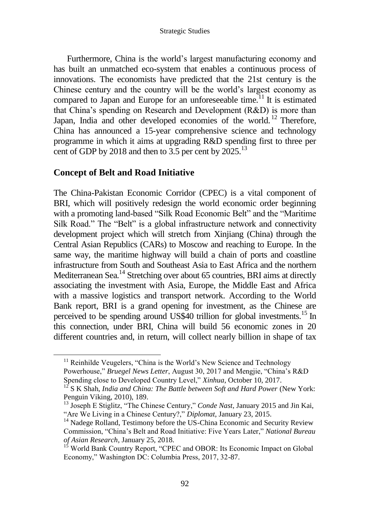Furthermore, China is the world's largest manufacturing economy and has built an unmatched eco-system that enables a continuous process of innovations. The economists have predicted that the 21st century is the Chinese century and the country will be the world's largest economy as compared to Japan and Europe for an unforeseeable time.<sup>11</sup> It is estimated that China's spending on Research and Development (R&D) is more than Japan, India and other developed economies of the world.<sup>12</sup> Therefore, China has announced a 15-year comprehensive science and technology programme in which it aims at upgrading R&D spending first to three per cent of GDP by 2018 and then to 3.5 per cent by 2025.<sup>13</sup>

### **Concept of Belt and Road Initiative**

The China-Pakistan Economic Corridor (CPEC) is a vital component of BRI, which will positively redesign the world economic order beginning with a promoting land-based "Silk Road Economic Belt" and the "Maritime Silk Road." The "Belt" is a global infrastructure network and connectivity development project which will stretch from Xinjiang (China) through the Central Asian Republics (CARs) to Moscow and reaching to Europe. In the same way, the maritime highway will build a chain of ports and coastline infrastructure from South and Southeast Asia to East Africa and the northern Mediterranean Sea.<sup>14</sup> Stretching over about 65 countries, BRI aims at directly associating the investment with Asia, Europe, the Middle East and Africa with a massive logistics and transport network. According to the World Bank report, BRI is a grand opening for investment, as the Chinese are perceived to be spending around US\$40 trillion for global investments.<sup>15</sup> In this connection, under BRI, China will build 56 economic zones in 20 different countries and, in return, will collect nearly billion in shape of tax

<sup>&</sup>lt;sup>11</sup> Reinhilde Veugelers, "China is the World's New Science and Technology Powerhouse," *Bruegel News Letter*, August 30, 2017 and Mengjie, "China's R&D Spending close to Developed Country Level," *Xinhua*, October 10, 2017.

<sup>&</sup>lt;sup>12</sup> S K Shah, *India and China: The Battle between Soft and Hard Power* (New York: Penguin Viking, 2010), 189.

<sup>13</sup> Joseph E Stiglitz, "The Chinese Century," *Conde Nast*, January 2015 and Jin Kai, "Are We Living in a Chinese Century?," *Diplomat*, January 23, 2015.

<sup>&</sup>lt;sup>14</sup> Nadege Rolland, Testimony before the US-China Economic and Security Review Commission, "China's Belt and Road Initiative: Five Years Later," *National Bureau of Asian Research*, January 25, 2018.

<sup>&</sup>lt;sup>15</sup> World Bank Country Report, "CPEC and OBOR: Its Economic Impact on Global Economy," Washington DC: Columbia Press, 2017, 32-87.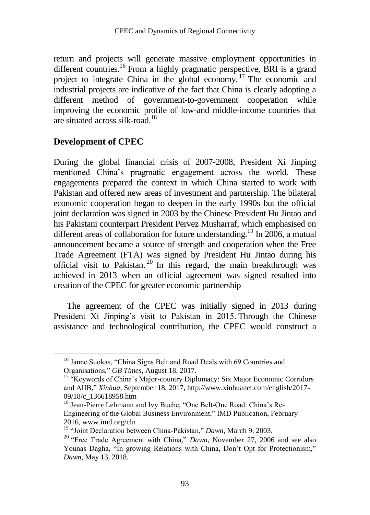return and projects will generate massive employment opportunities in different countries.<sup>16</sup> From a highly pragmatic perspective, BRI is a grand project to integrate China in the global economy. <sup>17</sup> The economic and industrial projects are indicative of the fact that China is clearly adopting a different method of government-to-government cooperation while improving the economic profile of low-and middle-income countries that are situated across silk-road.<sup>18</sup>

#### **Development of CPEC**

 $\overline{a}$ 

During the global financial crisis of 2007-2008, President Xi Jinping mentioned China's pragmatic engagement across the world. These engagements prepared the context in which China started to work with Pakistan and offered new areas of investment and partnership. The bilateral economic cooperation began to deepen in the early 1990s but the official joint declaration was signed in 2003 by the Chinese President Hu Jintao and his Pakistani counterpart President Pervez Musharraf, which emphasised on different areas of collaboration for future understanding.<sup>19</sup> In 2006, a mutual announcement became a source of strength and cooperation when the Free Trade Agreement (FTA) was signed by President Hu Jintao during his official visit to Pakistan.<sup>20</sup> In this regard, the main breakthrough was achieved in 2013 when an official agreement was signed resulted into creation of the CPEC for greater economic partnership

The agreement of the CPEC was initially signed in 2013 during President Xi Jinping's visit to Pakistan in 2015. Through the Chinese assistance and technological contribution, the CPEC would construct a

<sup>&</sup>lt;sup>16</sup> Janne Suokas, "China Signs Belt and Road Deals with 69 Countries and Organisations," *GB Times*, August 18, 2017.

<sup>&</sup>lt;sup>17</sup> "Keywords of China's Major-country Diplomacy: Six Major Economic Corridors and AIIB," *Xinhua*, September 18, 2017, http://www.xinhuanet.com/english/2017- 09/18/c\_136618958.htm

<sup>&</sup>lt;sup>18</sup> Jean-Pierre Lehmann and Ivy Buche, "One Belt-One Road: China's Re-Engineering of the Global Business Environment," IMD Publication, February 2016[, www.imd.org/cln](https://www1.imd.org/corporate-learning-network/home/)

<sup>19</sup> "Joint Declaration between China-Pakistan," *Dawn*, March 9, 2003.

<sup>&</sup>lt;sup>20</sup> "Free Trade Agreement with China," *Dawn*, November 27, 2006 and see also Younas Dagha, "In growing Relations with China, Don't Opt for Protectionism," *Dawn*, May 13, 2018.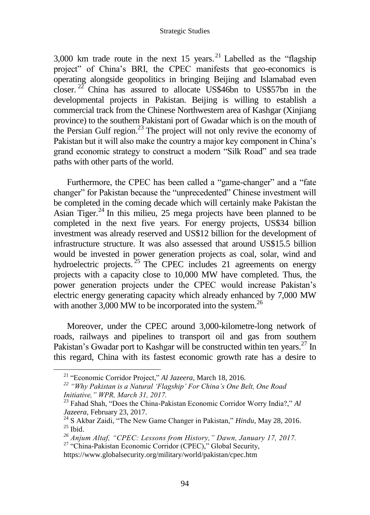#### Strategic Studies

3,000 km trade route in the next 15 years. <sup>21</sup> Labelled as the "flagship" project" of China's BRI, the CPEC manifests that geo-economics is operating alongside geopolitics in bringing Beijing and Islamabad even closer. <sup>22</sup> China has assured to allocate US\$46bn to US\$57bn in the developmental projects in Pakistan. Beijing is willing to establish a commercial track from the Chinese Northwestern area of Kashgar (Xinjiang province) to the southern Pakistani port of Gwadar which is on the mouth of the Persian Gulf region. $^{23}$  The project will not only revive the economy of Pakistan but it will also make the country a major key component in China's grand economic strategy to construct a modern "Silk Road" and sea trade paths with other parts of the world.

Furthermore, the CPEC has been called a "game-changer" and a "fate changer" for Pakistan because the "unprecedented" Chinese investment will be completed in the coming decade which will certainly make Pakistan the Asian Tiger.<sup>24</sup> In this milieu, 25 mega projects have been planned to be completed in the next five years. For energy projects, US\$34 billion investment was already reserved and US\$12 billion for the development of infrastructure structure. It was also assessed that around US\$15.5 billion would be invested in power generation projects as coal, solar, wind and hydroelectric projects.<sup>25</sup> The CPEC includes 21 agreements on energy projects with a capacity close to 10,000 MW have completed. Thus, the power generation projects under the CPEC would increase Pakistan's electric energy generating capacity which already enhanced by 7,000 MW with another  $3,000$  MW to be incorporated into the system.<sup>26</sup>

Moreover, under the CPEC around 3,000-kilometre-long network of roads, railways and pipelines to transport oil and gas from southern Pakistan's Gwadar port to Kashgar will be constructed within ten years.<sup>27</sup> In this regard, China with its fastest economic growth rate has a desire to

<sup>21</sup> "Economic Corridor Project," *Al Jazeera*, March 18, 2016.

*<sup>22</sup> "Why Pakistan is a Natural 'Flagship' For China's One Belt, One Road Initiative," WPR, March 31, 2017.* 

<sup>23</sup> Fahad Shah, "Does the China-Pakistan Economic Corridor Worry India?," *Al Jazeera*, February 23, 2017.

<sup>24</sup> S Akbar Zaidi, "The New Game Changer in Pakistan," *Hindu*, May 28, 2016.  $25$  Ibid.

*<sup>26</sup> Anjum Altaf, "CPEC: Lessons from History," Dawn, January 17, 2017.*  <sup>27</sup> "China-Pakistan Economic Corridor (CPEC)," Global Security,

<https://www.globalsecurity.org/military/world/pakistan/cpec.htm>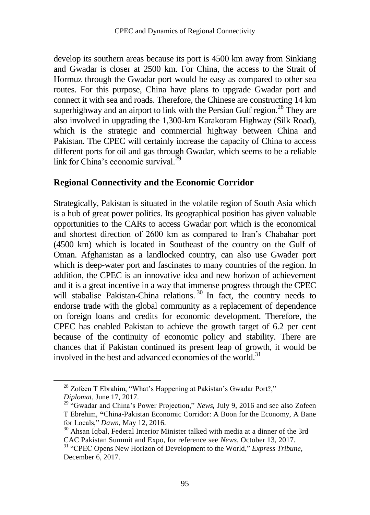develop its southern areas because its port is 4500 km away from Sinkiang and Gwadar is closer at 2500 km. For China, the access to the Strait of Hormuz through the Gwadar port would be easy as compared to other sea routes. For this purpose, China have plans to upgrade Gwadar port and connect it with sea and roads. Therefore, the Chinese are constructing 14 km superhighway and an airport to link with the Persian Gulf region.<sup>28</sup> They are also involved in upgrading the 1,300-km Karakoram Highway (Silk Road), which is the strategic and commercial highway between China and Pakistan. The CPEC will certainly increase the capacity of China to access different ports for oil and gas through Gwadar, which seems to be a reliable link for China's economic survival.<sup>29</sup>

#### **Regional Connectivity and the Economic Corridor**

Strategically, Pakistan is situated in the volatile region of South Asia which is a hub of great power politics. Its geographical position has given valuable opportunities to the CARs to access Gwadar port which is the economical and shortest direction of 2600 km as compared to Iran's Chabahar port (4500 km) which is located in Southeast of the country on the Gulf of Oman. Afghanistan as a landlocked country, can also use Gwader port which is deep-water port and fascinates to many countries of the region. In addition, the CPEC is an innovative idea and new horizon of achievement and it is a great incentive in a way that immense progress through the CPEC will stabalise Pakistan-China relations.<sup>30</sup> In fact, the country needs to endorse trade with the global community as a replacement of dependence on foreign loans and credits for economic development. Therefore, the CPEC has enabled Pakistan to achieve the growth target of 6.2 per cent because of the continuity of economic policy and stability. There are chances that if Pakistan continued its present leap of growth, it would be involved in the best and advanced economies of the world.<sup>31</sup>

<sup>&</sup>lt;sup>28</sup> Zofeen T Ebrahim, "What's Happening at Pakistan's Gwadar Port?," *Diplomat*, June 17, 2017.

<sup>&</sup>lt;sup>29</sup> "Gwadar and China's Power Projection," *News*, July 9, 2016 and see also Zofeen T Ebrehim, **"**China-Pakistan Economic Corridor: A Boon for the Economy, A Bane for Locals," *Dawn*, May 12, 2016.

<sup>&</sup>lt;sup>30</sup> Ahsan Iqbal, Federal Interior Minister talked with media at a dinner of the 3rd CAC Pakistan Summit and Expo, for reference see *News*, October 13, 2017.

<sup>&</sup>lt;sup>31</sup> "CPEC Opens New Horizon of Development to the World," *Express Tribune*, December 6, 2017.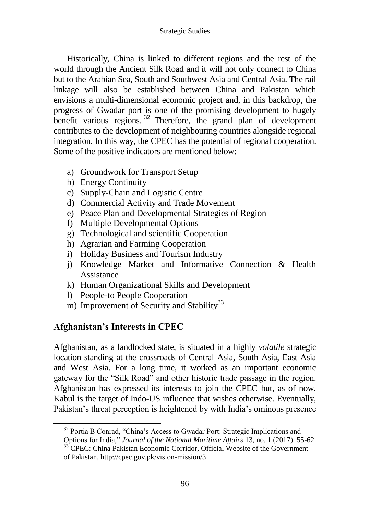Historically, China is linked to different regions and the rest of the world through the Ancient Silk Road and it will not only connect to China but to the Arabian Sea, South and Southwest Asia and Central Asia. The rail linkage will also be established between China and Pakistan which envisions a multi-dimensional economic project and, in this backdrop, the progress of Gwadar port is one of the promising development to hugely benefit various regions.<sup>32</sup> Therefore, the grand plan of development contributes to the development of neighbouring countries alongside regional integration. In this way, the CPEC has the potential of regional cooperation. Some of the positive indicators are mentioned below:

- a) Groundwork for Transport Setup
- b) Energy Continuity
- c) Supply-Chain and Logistic Centre
- d) Commercial Activity and Trade Movement
- e) Peace Plan and Developmental Strategies of Region
- f) Multiple Developmental Options
- g) Technological and scientific Cooperation
- h) Agrarian and Farming Cooperation
- i) Holiday Business and Tourism Industry
- j) Knowledge Market and Informative Connection & Health Assistance
- k) Human Organizational Skills and Development
- l) People-to People Cooperation
- m) Improvement of Security and Stability<sup>33</sup>

# **Afghanistan's Interests in CPEC**

Afghanistan, as a landlocked state, is situated in a highly *volatile* strategic location standing at the crossroads of Central Asia, South Asia, East Asia and West Asia. For a long time, it worked as an important economic gateway for the "Silk Road" and other historic trade passage in the region. Afghanistan has expressed its interests to join the CPEC but, as of now, Kabul is the target of Indo-US influence that wishes otherwise. Eventually, Pakistan's threat perception is heightened by with India's ominous presence

<sup>&</sup>lt;sup>32</sup> Portia B Conrad, "China's Access to Gwadar Port: Strategic Implications and

Options for India," *Journal of the National Maritime Affairs* 13, no. 1 (2017): 55-62. <sup>33</sup> CPEC: China Pakistan Economic Corridor, Official Website of the Government

of Pakistan, http://cpec.gov.pk/vision-mission/3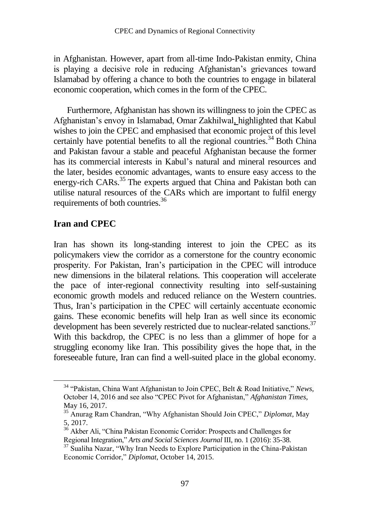in Afghanistan. However, apart from all-time Indo-Pakistan enmity, China is playing a decisive role in reducing Afghanistan's grievances toward Islamabad by offering a chance to both the countries to engage in bilateral economic cooperation, which comes in the form of the CPEC.

Furthermore, Afghanistan has shown its willingness to join the CPEC as Afghanistan's envoy in Islamabad, Omar Zakhilwal, highlighted that Kabul wishes to join the CPEC and emphasised that economic project of this level certainly have potential benefits to all the regional countries.<sup>34</sup> Both China and Pakistan favour a stable and peaceful Afghanistan because the former has its commercial interests in Kabul's natural and mineral resources and the later, besides economic advantages, wants to ensure easy access to the energy-rich CARs.<sup>35</sup> The experts argued that China and Pakistan both can utilise natural resources of the CARs which are important to fulfil energy requirements of both countries.<sup>36</sup>

#### **Iran and CPEC**

Iran has shown its long-standing interest to join the CPEC as its policymakers view the corridor as a cornerstone for the country economic prosperity. For Pakistan, Iran's participation in the CPEC will introduce new dimensions in the bilateral relations. This cooperation will accelerate the pace of inter-regional connectivity resulting into self-sustaining economic growth models and reduced reliance on the Western countries. Thus, Iran's participation in the CPEC will certainly accentuate economic gains. These economic benefits will help Iran as well since its economic development has been severely restricted due to nuclear-related sanctions.<sup>37</sup> With this backdrop, the CPEC is no less than a glimmer of hope for a struggling economy like Iran. This possibility gives the hope that, in the foreseeable future, Iran can find a well-suited place in the global economy.

<sup>34</sup> "Pakistan, China Want Afghanistan to Join CPEC, Belt & Road Initiative," *News,* October 14, 2016 and see also "CPEC Pivot for Afghanistan," *Afghanistan Times*, May 16, 2017.

<sup>35</sup> Anurag Ram Chandran, "Why Afghanistan Should Join CPEC," *Diplomat*, May 5, 2017.

<sup>&</sup>lt;sup>36</sup> Akber Ali, "China Pakistan Economic Corridor: Prospects and Challenges for Regional Integration," *Arts and Social Sciences Journal* III, no. 1 (2016): 35-38.

 $37$  Sualiha Nazar, "Why Iran Needs to Explore Participation in the China-Pakistan Economic Corridor," *Diplomat*, October 14, 2015.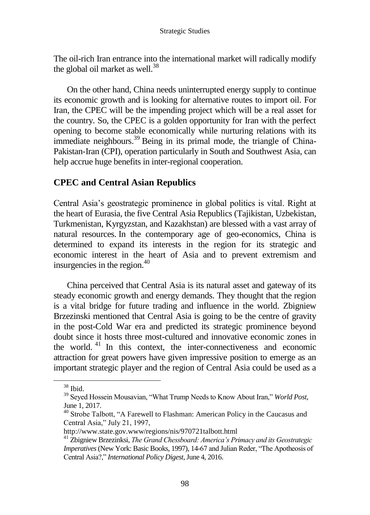The oil-rich Iran entrance into the international market will radically modify the global oil market as well. $^{38}$ 

On the other hand, China needs uninterrupted energy supply to continue its economic growth and is looking for alternative routes to import oil. For Iran, the CPEC will be the impending project which will be a real asset for the country. So, the CPEC is a golden opportunity for Iran with the perfect opening to become stable economically while nurturing relations with its immediate neighbours.<sup>39</sup> Being in its primal mode, the triangle of China-Pakistan-Iran (CPI), operation particularly in South and Southwest Asia, can help accrue huge benefits in inter-regional cooperation.

### **CPEC and Central Asian Republics**

Central Asia's geostrategic prominence in global politics is vital. Right at the heart of Eurasia, the five Central Asia Republics (Tajikistan, Uzbekistan, Turkmenistan, Kyrgyzstan, and Kazakhstan) are blessed with a vast array of natural resources. In the contemporary age of geo-economics, China is determined to expand its interests in the region for its strategic and economic interest in the heart of Asia and to prevent extremism and insurgencies in the region. $40<sup>40</sup>$ 

China perceived that Central Asia is its natural asset and gateway of its steady economic growth and energy demands. They thought that the region is a vital bridge for future trading and influence in the world. Zbigniew Brzezinski mentioned that Central Asia is going to be the centre of gravity in the post-Cold War era and predicted its strategic prominence beyond doubt since it hosts three most-cultured and innovative economic zones in the world. <sup>41</sup> In this context, the inter-connectiveness and economic attraction for great powers have given impressive position to emerge as an important strategic player and the region of Central Asia could be used as a

<sup>38</sup> Ibid.

<sup>39</sup> Seyed Hossein Mousavian, "What Trump Needs to Know About Iran," *World Post*, June 1, 2017.

<sup>&</sup>lt;sup>40</sup> Strobe Talbott, "A Farewell to Flashman: American Policy in the Caucasus and Central Asia," July 21, 1997,

http://www.state.gov.www/regions/nis/970721talbott.html

<sup>41</sup> Zbigniew Brzezinksi, *The Grand Chessboard: America's Primacy and its Geostrategic Imperatives*(New York: Basic Books, 1997), 14-67 and Julian Reder, "The Apotheosis of Central Asia?," *International Policy Digest*, June 4, 2016.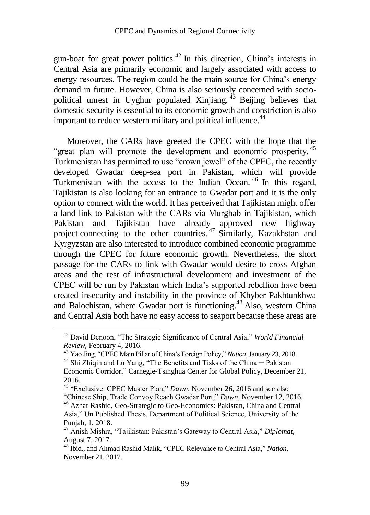gun-boat for great power politics.<sup>42</sup> In this direction, China's interests in Central Asia are primarily economic and largely associated with access to energy resources. The region could be the main source for China's energy demand in future. However, China is also seriously concerned with sociopolitical unrest in Uyghur populated Xinjiang.  $^{43}$  Beijing believes that domestic security is essential to its economic growth and constriction is also important to reduce western military and political influence.<sup>44</sup>

Moreover, the CARs have greeted the CPEC with the hope that the "great plan will promote the development and economic prosperity.<sup>45</sup> Turkmenistan has permitted to use "crown jewel" of the CPEC, the recently developed Gwadar deep-sea port in Pakistan, which will provide Turkmenistan with the access to the Indian Ocean. <sup>46</sup> In this regard, Tajikistan is also looking for an entrance to Gwadar port and it is the only option to connect with the world. It has perceived that Tajikistan might offer a land link to Pakistan with the CARs via Murghab in Tajikistan, which Pakistan and Tajikistan have already approved new highway project connecting to the other countries.<sup>47</sup> Similarly, Kazakhstan and Kyrgyzstan are also interested to introduce combined economic programme through the CPEC for future economic growth. Nevertheless, the short passage for the CARs to link with Gwadar would desire to cross Afghan areas and the rest of infrastructural development and investment of the CPEC will be run by Pakistan which India's supported rebellion have been created insecurity and instability in the province of Khyber Pakhtunkhwa and Balochistan, where Gwadar port is functioning.<sup>48</sup> Also, western China and Central Asia both have no easy access to seaport because these areas are

 $\overline{a}$ 

<sup>42</sup> David Denoon, "The Strategic Significance of Central Asia," *World Financial Review*, February 4, 2016.

<sup>43</sup> Yao Jing, "CPEC Main Pillar of China's Foreign Policy," *Nation*, January 23, 2018.

 $44$  Shi Zhiqin and Lu Yang, "The Benefits and Tisks of the China — Pakistan Economic Corridor," Carnegie-Tsinghua Center for Global Policy, December 21, 2016.

<sup>45</sup> "Exclusive: CPEC Master Plan," *Dawn*, November 26, 2016 and see also "Chinese Ship, Trade Convoy Reach Gwadar Port," *Dawn*, November 12, 2016. <sup>46</sup> Azhar Rashid, Geo-Strategic to Geo-Economics: Pakistan, China and Central Asia," Un Published Thesis, Department of Political Science, University of the

Punjab, 1, 2018.

<sup>47</sup> Anish Mishra, "Tajikistan: Pakistan's Gateway to Central Asia," *Diplomat*, August 7, 2017.

<sup>48</sup> Ibid., and Ahmad Rashid Malik, "CPEC Relevance to Central Asia," *Nation*, November 21, 2017.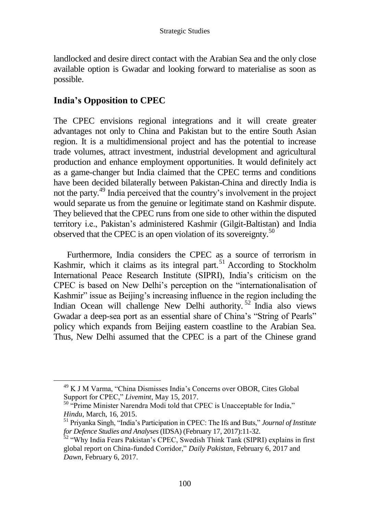landlocked and desire direct contact with the Arabian Sea and the only close available option is Gwadar and looking forward to materialise as soon as possible.

## **India's Opposition to CPEC**

The CPEC envisions regional integrations and it will create greater advantages not only to China and Pakistan but to the entire South Asian region. It is a multidimensional project and has the potential to increase trade volumes, attract investment, industrial development and agricultural production and enhance employment opportunities. It would definitely act as a game-changer but India claimed that the CPEC terms and conditions have been decided bilaterally between Pakistan-China and directly India is not the party.<sup>49</sup> India perceived that the country's involvement in the project would separate us from the genuine or legitimate stand on Kashmir dispute. They believed that the CPEC runs from one side to other within the disputed territory i.e., Pakistan's administered Kashmir (Gilgit-Baltistan) and India observed that the CPEC is an open violation of its sovereignty.<sup>50</sup>

Furthermore, India considers the CPEC as a source of terrorism in Kashmir, which it claims as its integral part.<sup>51</sup> According to Stockholm International Peace Research Institute (SIPRI), India's criticism on the CPEC is based on New Delhi's perception on the "internationalisation of Kashmir" issue as Beijing's increasing influence in the region including the Indian Ocean will challenge New Delhi authority. <sup>52</sup> India also views Gwadar a deep-sea port as an essential share of China's "String of Pearls" policy which expands from Beijing eastern coastline to the Arabian Sea. Thus, New Delhi assumed that the CPEC is a part of the Chinese grand

<sup>49</sup> K J M Varma, "China Dismisses India's Concerns over OBOR, Cites Global Support for CPEC," *Livemint*, May 15, 2017.

<sup>&</sup>lt;sup>50</sup> "Prime Minister Narendra Modi told that CPEC is Unacceptable for India," *Hindu*, March, 16, 2015.

<sup>51</sup> Priyanka Singh, "India's Participation in CPEC: The Ifs and Buts," *Journal of Institute for Defence Studies and Analyses* (IDSA) (February 17, 2017):11-32.

<sup>&</sup>lt;sup>52</sup> "Why India Fears Pakistan's CPEC, Swedish Think Tank (SIPRI) explains in first global report on China-funded Corridor," *Daily Pakistan*, February 6, 2017 and *Dawn*, February 6, 2017.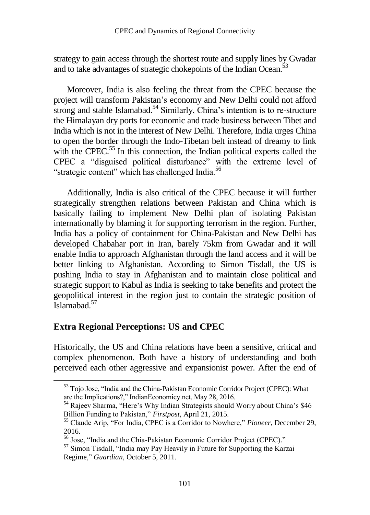strategy to gain access through the shortest route and supply lines by Gwadar and to take advantages of strategic chokepoints of the Indian Ocean.<sup>53</sup>

Moreover, India is also feeling the threat from the CPEC because the project will transform Pakistan's economy and New Delhi could not afford strong and stable Islamabad.<sup>54</sup> Similarly, China's intention is to re-structure the Himalayan dry ports for economic and trade business between Tibet and India which is not in the interest of New Delhi. Therefore, India urges China to open the border through the Indo-Tibetan belt instead of dreamy to link with the CPEC.<sup>55</sup> In this connection, the Indian political experts called the CPEC a "disguised political disturbance" with the extreme level of "strategic content" which has challenged India.<sup>56</sup>

Additionally, India is also critical of the CPEC because it will further strategically strengthen relations between Pakistan and China which is basically failing to implement New Delhi plan of isolating Pakistan internationally by blaming it for supporting terrorism in the region. Further, India has a policy of containment for China-Pakistan and New Delhi has developed Chabahar port in Iran, barely 75km from Gwadar and it will enable India to approach Afghanistan through the land access and it will be better linking to Afghanistan. According to Simon Tisdall, the US is pushing India to stay in Afghanistan and to maintain close political and strategic support to Kabul as India is seeking to take benefits and protect the geopolitical interest in the region just to contain the strategic position of Islamabad. 57

## **Extra Regional Perceptions: US and CPEC**

Historically, the US and China relations have been a sensitive, critical and complex phenomenon. Both have a history of understanding and both perceived each other aggressive and expansionist power. After the end of

<sup>53</sup> Tojo Jose, "India and the China-Pakistan Economic Corridor Project (CPEC): What are the Implications?," IndianEconomicy.net, May 28, 2016.

<sup>&</sup>lt;sup>54</sup> Rajeev Sharma, "Here's Why Indian Strategists should Worry about China's \$46 Billion Funding to Pakistan," *Firstpost*, April 21, 2015.

<sup>55</sup> Claude Arip, "For India, CPEC is a Corridor to Nowhere," *Pioneer*, December 29, 2016.

<sup>56</sup> Jose, "India and the Chia-Pakistan Economic Corridor Project (CPEC)."

<sup>&</sup>lt;sup>57</sup> Simon Tisdall, "India may Pay Heavily in Future for Supporting the Karzai Regime," *Guardian*, October 5, 2011.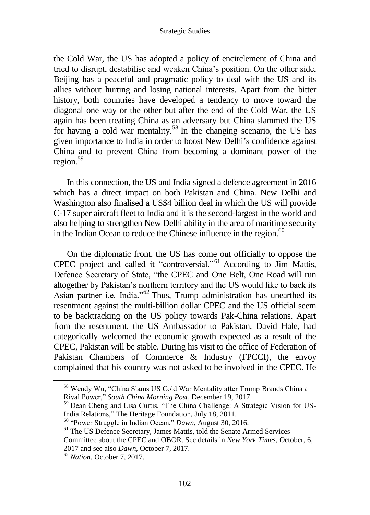#### Strategic Studies

the Cold War, the US has adopted a policy of encirclement of China and tried to disrupt, destabilise and weaken China's position. On the other side, Beijing has a peaceful and pragmatic policy to deal with the US and its allies without hurting and losing national interests. Apart from the bitter history, both countries have developed a tendency to move toward the diagonal one way or the other but after the end of the Cold War, the US again has been treating China as an adversary but China slammed the US for having a cold war mentality.<sup>58</sup> In the changing scenario*,* the US has given importance to India in order to boost New Delhi's confidence against China and to prevent China from becoming a dominant power of the region*.* 59

In this connection, the US and India signed a defence agreement in 2016 which has a direct impact on both Pakistan and China. New Delhi and Washington also finalised a US\$4 billion deal in which the US will provide C-17 super aircraft fleet to India and it is the second-largest in the world and also helping to strengthen New Delhi ability in the area of maritime security in the Indian Ocean to reduce the Chinese influence in the region.<sup>60</sup>

On the diplomatic front, the US has come out officially to oppose the CPEC project and called it "controversial." <sup>61</sup> According to Jim Mattis, Defence Secretary of State, "the CPEC and One Belt, One Road will run altogether by Pakistan's northern territory and the US would like to back its Asian partner i.e. India." $^{62}$  Thus, Trump administration has unearthed its resentment against the multi-billion dollar CPEC and the US official seem to be backtracking on the US policy towards Pak-China relations. Apart from the resentment, the US Ambassador to Pakistan, David Hale, had categorically welcomed the economic growth expected as a result of the CPEC, Pakistan will be stable. During his visit to the office of Federation of Pakistan Chambers of Commerce & Industry (FPCCI), the envoy complained that his country was not asked to be involved in the CPEC. He

<sup>58</sup> Wendy Wu, "China Slams US Cold War Mentality after Trump Brands China a Rival Power," *South China Morning Post*, December 19, 2017.

<sup>59</sup> Dean Cheng and Lisa Curtis, "The China Challenge: A Strategic Vision for US-India Relations," The Heritage Foundation, July 18, 2011.

<sup>60</sup> "Power Struggle in Indian Ocean," *Dawn*, August 30, 2016.

<sup>&</sup>lt;sup>61</sup> The US Defence Secretary, James Mattis, told the Senate Armed Services Committee about the CPEC and OBOR. See details in *New York Times*, October, 6, 2017 and see also *Dawn*, October 7, 2017.

<sup>62</sup> *Nation*, October 7, 2017.